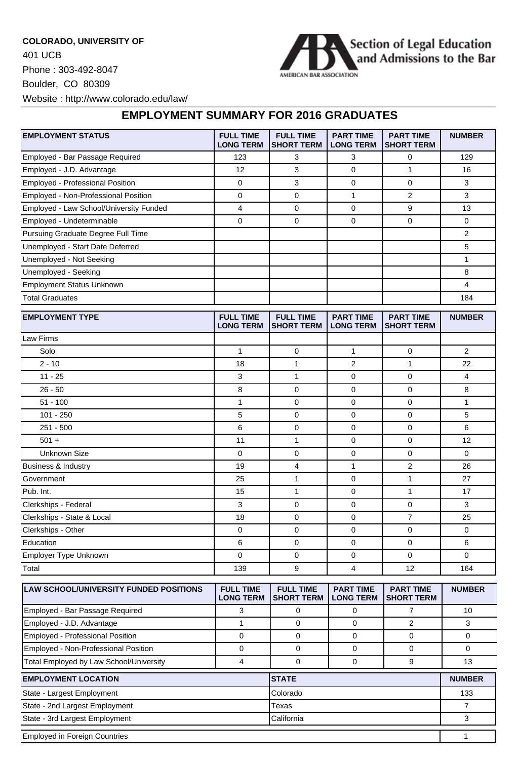**COLORADO, UNIVERSITY OF** 401 UCB Phone : 303-492-8047 Boulder, CO 80309 Website : http://www.colorado.edu/law/



## **EMPLOYMENT SUMMARY FOR 2016 GRADUATES**

| <b>EMPLOYMENT STATUS</b>                      | <b>FULL TIME</b><br><b>LONG TERM</b> | <b>FULL TIME</b><br>SHORT TERM        | <b>PART TIME</b><br><b>LONG TERM</b> | <b>PART TIME</b><br><b>SHORT TERM</b> | <b>NUMBER</b>  |
|-----------------------------------------------|--------------------------------------|---------------------------------------|--------------------------------------|---------------------------------------|----------------|
| Employed - Bar Passage Required               | 123                                  | 3                                     | 3                                    | 0                                     | 129            |
| Employed - J.D. Advantage                     | 12                                   | 3                                     | $\mathbf 0$                          | $\mathbf{1}$                          | 16             |
| Employed - Professional Position              | 0                                    | 3                                     | $\mathbf 0$                          | 0                                     | 3              |
| Employed - Non-Professional Position          | $\mathbf 0$                          | 0                                     | $\mathbf{1}$                         | $\overline{2}$                        | 3              |
| Employed - Law School/University Funded       | $\overline{4}$                       | 0                                     | $\mathbf 0$                          | 9                                     | 13             |
| Employed - Undeterminable                     | 0                                    | 0                                     | 0                                    | 0                                     | 0              |
| Pursuing Graduate Degree Full Time            |                                      |                                       |                                      |                                       | $\overline{2}$ |
| Unemployed - Start Date Deferred              |                                      |                                       |                                      |                                       | 5              |
| Unemployed - Not Seeking                      |                                      |                                       |                                      |                                       | $\mathbf{1}$   |
| Unemployed - Seeking                          |                                      |                                       |                                      |                                       | 8              |
| <b>Employment Status Unknown</b>              |                                      |                                       |                                      |                                       | 4              |
| <b>Total Graduates</b>                        |                                      |                                       |                                      |                                       | 184            |
| <b>EMPLOYMENT TYPE</b>                        | <b>FULL TIME</b><br><b>LONG TERM</b> | <b>FULL TIME</b><br><b>SHORT TERM</b> | <b>PART TIME</b><br><b>LONG TERM</b> | <b>PART TIME</b><br><b>SHORT TERM</b> | <b>NUMBER</b>  |
| Law Firms                                     |                                      |                                       |                                      |                                       |                |
| Solo                                          | $\mathbf{1}$                         | 0                                     | 1                                    | 0                                     | $\overline{2}$ |
| $2 - 10$                                      | 18                                   | 1                                     | $\overline{2}$                       | $\mathbf{1}$                          | 22             |
| $11 - 25$                                     | 3                                    | $\mathbf{1}$                          | $\mathbf 0$                          | 0                                     | 4              |
| $26 - 50$                                     | 8                                    | 0                                     | 0                                    | 0                                     | 8              |
| $51 - 100$                                    | $\mathbf{1}$                         | 0                                     | 0                                    | 0                                     | 1              |
| $101 - 250$                                   | 5                                    | 0                                     | $\mathbf 0$                          | 0                                     | 5              |
| $251 - 500$                                   | 6                                    | 0                                     | $\mathbf 0$                          | 0                                     | 6              |
| $501 +$                                       | 11                                   | $\mathbf{1}$                          | $\mathbf 0$                          | 0                                     | 12             |
| <b>Unknown Size</b>                           | 0                                    | 0                                     | 0                                    | 0                                     | 0              |
| Business & Industry                           | 19                                   | 4                                     | 1                                    | $\overline{2}$                        | 26             |
| Government                                    | 25                                   | 1                                     | 0                                    | 1                                     | 27             |
| Pub. Int.                                     | 15                                   | $\mathbf{1}$                          | $\mathbf 0$                          | $\mathbf{1}$                          | 17             |
| Clerkships - Federal                          | 3                                    | 0                                     | $\mathbf 0$                          | $\overline{0}$                        | 3              |
| Clerkships - State & Local                    | 18                                   | 0                                     | $\mathbf 0$                          | $\overline{7}$                        | 25             |
| Clerkships - Other                            | 0                                    | 0                                     | 0                                    | 0                                     | 0              |
| Education                                     | 6                                    | 0                                     | 0                                    | 0                                     | 6              |
| Employer Type Unknown                         | $\mathbf 0$                          | 0                                     | 0                                    | 0                                     | 0              |
| Total                                         | 139                                  | 9                                     | $\overline{4}$                       | 12                                    | 164            |
| <b>LAW SCHOOL/UNIVERSITY FUNDED POSITIONS</b> | <b>FULL TIME</b><br><b>LONG TERM</b> | <b>FULL TIME</b><br><b>SHORT TERM</b> | <b>PART TIME</b><br><b>LONG TERM</b> | <b>PART TIME</b><br><b>SHORT TERM</b> | <b>NUMBER</b>  |
| Employed - Bar Passage Required               | 3                                    | 0                                     | $\mathbf 0$                          | $\overline{7}$                        | 10             |

| Employed - J.D. Advantage               |          |              |               |  |  |
|-----------------------------------------|----------|--------------|---------------|--|--|
| <b>Employed - Professional Position</b> |          |              |               |  |  |
| Employed - Non-Professional Position    |          |              |               |  |  |
| Total Employed by Law School/University |          |              |               |  |  |
| <b>EMPLOYMENT LOCATION</b>              |          | <b>STATE</b> | <b>NUMBER</b> |  |  |
| State - Largest Employment              | Colorado | 133          |               |  |  |
| State - 2nd Largest Employment          | Texas    |              |               |  |  |

State - 3rd Largest Employment 3 Employed in Foreign Countries **1996** Countries 1 and 2008 Countries 1 and 2008 Countries 1 and 2008 Countries 1 and 2008 Countries 1 and 2008 Countries 1 and 2008 Countries 1 and 2008 Countries 1 and 2008 Countries 1 and 2